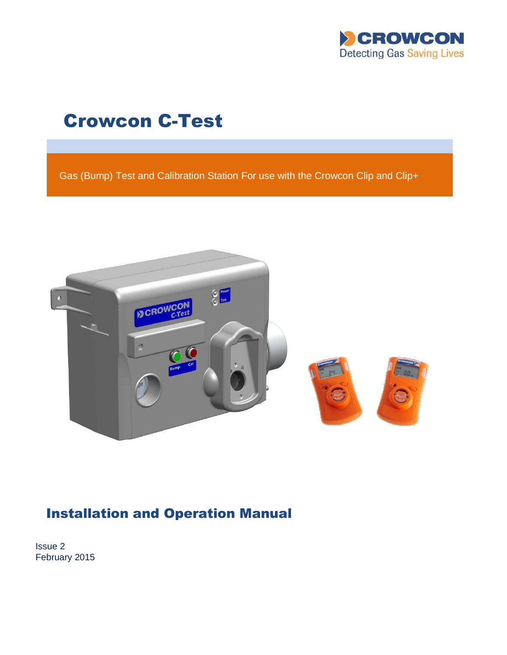

# Crowcon C-Test

Gas (Bump) Test and Calibration Station For use with the Crowcon Clip and Clip+



# Installation and Operation Manual

Issue 2 February 2015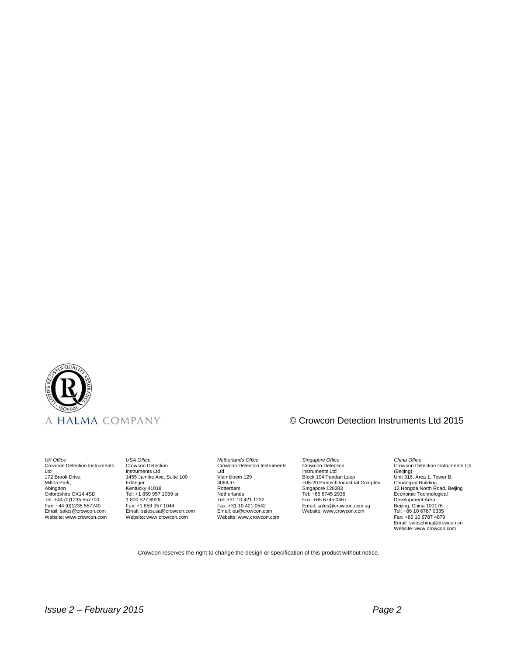

# © Crowcon Detection Instruments Ltd 2015

*UK Office* Crowcon Detection Instruments Ltd 172 Brook Drive, Milton Park, Abingdon Oxfordshire OX14 4SD Tel: +44 (0)1235 557700 Fax :+44 (0)1235 557749 Email: sales@crowcon.com Website: www.crowcon.com

*USA Office* Crowcon Detection Instruments Ltd 1455 Jamike Ave, Suite 100 Erlanger Kentucky 41018 Tel: +1 859 957 1039 or 1 800 527 6926 Fax: +1 859 957 1044 Email: salesusa@crowcon.com Website: www.crowcon.com

*Netherlands Office* Crowcon Detection Instruments Ltd Vlambloem 129 3068JG Rotterdam **Netherlands** Tel: +31 10 421 1232 Fax: +31 10 421 0542 Email: eu@crowcon.com Website: www.crowcon.com

*Singapore Office* Crowcon Detection Instruments Ltd Block 194 Pandan Loop ~06-20 Pantech Industrial Complex Singapore 128383 Tel: +65 6745 2936 Fax: +65 6745 0467 Email: sales@crowcon.com.sg Website: www.crowcon.com

# *China Office* Crowcon Detection Instruments Ltd (Beijing) Unit 316, Area 1, Tower B, Chuangxin Building 12 Hongda North Road, Beijing Economic Technological Development Area Beijing, China 100176 Tel: +86 10 6787 0335 Fax: +86 10 6787 4879 Email: saleschina@crowcon.cn Website: www.crowcon.com

Crowcon reserves the right to change the design or specification of this product without notice.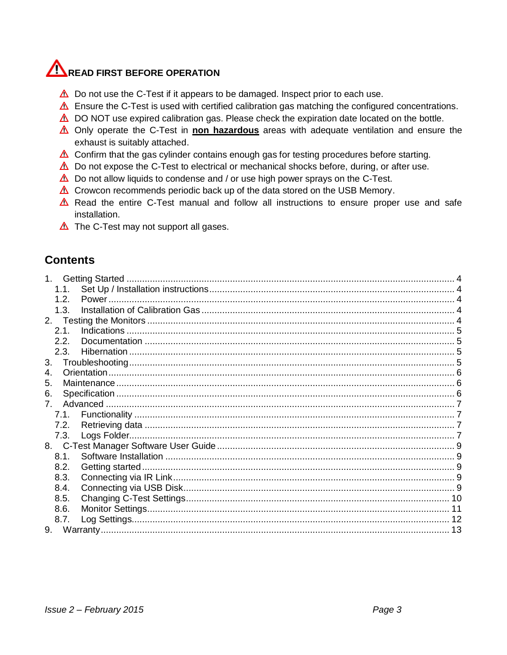# READ FIRST BEFORE OPERATION

- $\triangle$  Do not use the C-Test if it appears to be damaged. Inspect prior to each use.
- $\triangle$  Ensure the C-Test is used with certified calibration gas matching the configured concentrations.
- $\triangle$  DO NOT use expired calibration gas. Please check the expiration date located on the bottle.
- ∆ Only operate the C-Test in non hazardous areas with adequate ventilation and ensure the exhaust is suitably attached.
- $\triangle$  Confirm that the gas cylinder contains enough gas for testing procedures before starting.
- $\triangle$  Do not expose the C-Test to electrical or mechanical shocks before, during, or after use.
- $\triangle$  Do not allow liquids to condense and / or use high power sprays on the C-Test.
- $\triangle$  Crowcon recommends periodic back up of the data stored on the USB Memory.
- $\triangle$  Read the entire C-Test manual and follow all instructions to ensure proper use and safe installation.
- $\triangle$  The C-Test may not support all gases.

# **Contents**

| 1 <sub>1</sub> |  |
|----------------|--|
| 1.1.           |  |
| 1.2.           |  |
| 1.3.           |  |
|                |  |
| 2.1.           |  |
| 2.2.           |  |
| 2.3.           |  |
| 3.             |  |
| 4.             |  |
| 5.             |  |
| 6.             |  |
|                |  |
| 7.1.           |  |
| 7.2.           |  |
| 7.3.           |  |
|                |  |
| 8.1.           |  |
| 8.2.           |  |
| 8.3.           |  |
| 8.4.           |  |
| 8.5.           |  |
| 8.6.           |  |
| 8.7.           |  |
| 9.             |  |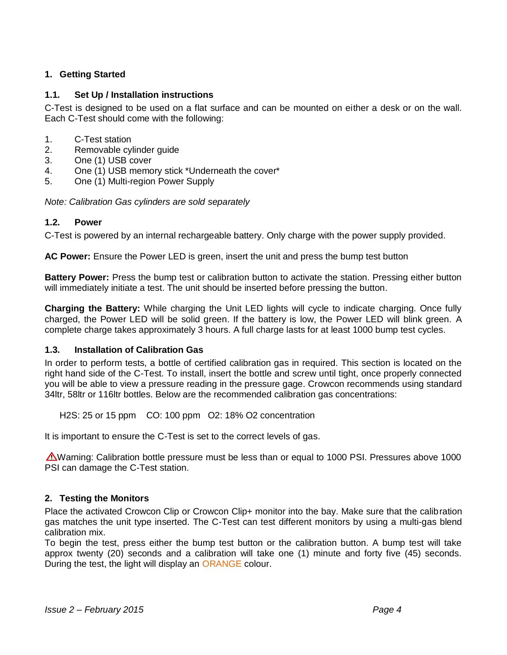# <span id="page-4-0"></span>**1. Getting Started**

# <span id="page-4-1"></span>**1.1. Set Up / Installation instructions**

C-Test is designed to be used on a flat surface and can be mounted on either a desk or on the wall. Each C-Test should come with the following:

- 1. C-Test station
- 2. Removable cylinder guide
- 3. One (1) USB cover
- 4. One (1) USB memory stick \*Underneath the cover\*
- 5. One (1) Multi-region Power Supply

<span id="page-4-2"></span>*Note: Calibration Gas cylinders are sold separately* 

# **1.2. Power**

C-Test is powered by an internal rechargeable battery. Only charge with the power supply provided.

**AC Power:** Ensure the Power LED is green, insert the unit and press the bump test button

**Battery Power:** Press the bump test or calibration button to activate the station. Pressing either button will immediately initiate a test. The unit should be inserted before pressing the button.

**Charging the Battery:** While charging the Unit LED lights will cycle to indicate charging. Once fully charged, the Power LED will be solid green. If the battery is low, the Power LED will blink green. A complete charge takes approximately 3 hours. A full charge lasts for at least 1000 bump test cycles.

# <span id="page-4-3"></span>**1.3. Installation of Calibration Gas**

In order to perform tests, a bottle of certified calibration gas in required. This section is located on the right hand side of the C-Test. To install, insert the bottle and screw until tight, once properly connected you will be able to view a pressure reading in the pressure gage. Crowcon recommends using standard 34ltr, 58ltr or 116ltr bottles. Below are the recommended calibration gas concentrations:

H2S: 25 or 15 ppm CO: 100 ppm O2: 18% O2 concentration

It is important to ensure the C-Test is set to the correct levels of gas.

 $\triangle$ Warning: Calibration bottle pressure must be less than or equal to 1000 PSI. Pressures above 1000 PSI can damage the C-Test station.

# <span id="page-4-4"></span>**2. Testing the Monitors**

Place the activated Crowcon Clip or Crowcon Clip+ monitor into the bay. Make sure that the calibration gas matches the unit type inserted. The C-Test can test different monitors by using a multi-gas blend calibration mix.

To begin the test, press either the bump test button or the calibration button. A bump test will take approx twenty (20) seconds and a calibration will take one (1) minute and forty five (45) seconds. During the test, the light will display an ORANGE colour.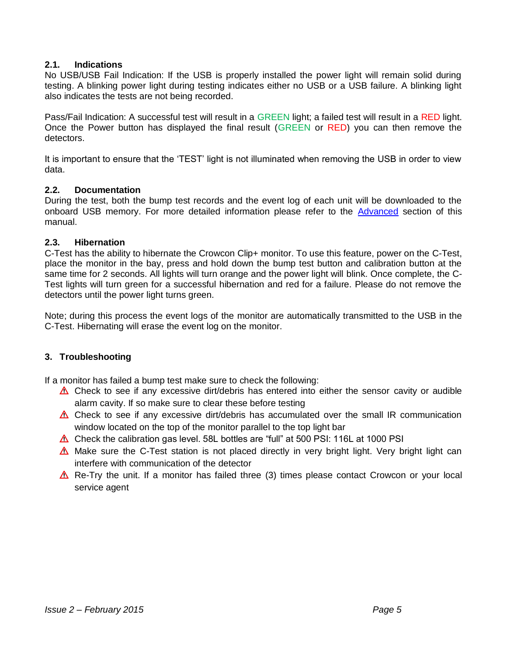# <span id="page-5-0"></span>**2.1. Indications**

No USB/USB Fail Indication: If the USB is properly installed the power light will remain solid during testing. A blinking power light during testing indicates either no USB or a USB failure. A blinking light also indicates the tests are not being recorded.

Pass/Fail Indication: A successful test will result in a GREEN light; a failed test will result in a RED light. Once the Power button has displayed the final result (GREEN or RED) you can then remove the detectors.

It is important to ensure that the 'TEST' light is not illuminated when removing the USB in order to view data.

### <span id="page-5-1"></span>**2.2. Documentation**

During the test, both the bump test records and the event log of each unit will be downloaded to the onboard USB memory. For more detailed information please refer to the [Advanced](#page-6-3) section of this manual.

### <span id="page-5-2"></span>**2.3. Hibernation**

C-Test has the ability to hibernate the Crowcon Clip+ monitor. To use this feature, power on the C-Test, place the monitor in the bay, press and hold down the bump test button and calibration button at the same time for 2 seconds. All lights will turn orange and the power light will blink. Once complete, the C-Test lights will turn green for a successful hibernation and red for a failure. Please do not remove the detectors until the power light turns green.

Note; during this process the event logs of the monitor are automatically transmitted to the USB in the C-Test. Hibernating will erase the event log on the monitor.

# <span id="page-5-3"></span>**3. Troubleshooting**

If a monitor has failed a bump test make sure to check the following:

- $\triangle$  Check to see if any excessive dirt/debris has entered into either the sensor cavity or audible alarm cavity. If so make sure to clear these before testing
- $\triangle$  Check to see if any excessive dirt/debris has accumulated over the small IR communication window located on the top of the monitor parallel to the top light bar
- $\triangle$  Check the calibration gas level. 58L bottles are "full" at 500 PSI: 116L at 1000 PSI
- $\triangle$  Make sure the C-Test station is not placed directly in very bright light. Very bright light can interfere with communication of the detector
- $\triangle$  Re-Try the unit. If a monitor has failed three (3) times please contact Crowcon or your local service agent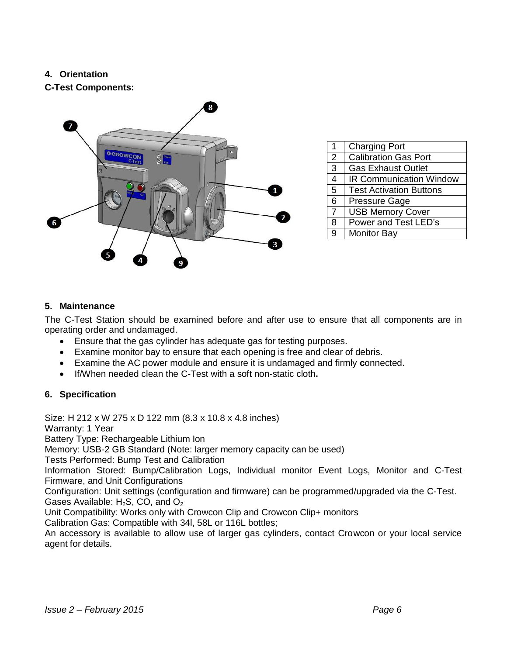# <span id="page-6-0"></span>**4. Orientation**

**C-Test Components:**



| 1 | <b>Charging Port</b>           |
|---|--------------------------------|
| 2 | <b>Calibration Gas Port</b>    |
| 3 | <b>Gas Exhaust Outlet</b>      |
| 4 | <b>IR Communication Window</b> |
| 5 | <b>Test Activation Buttons</b> |
| 6 | <b>Pressure Gage</b>           |
| 7 | <b>USB Memory Cover</b>        |
| 8 | Power and Test LED's           |
| 9 | <b>Monitor Bay</b>             |

# <span id="page-6-1"></span>**5. Maintenance**

The C-Test Station should be examined before and after use to ensure that all components are in operating order and undamaged.

- Ensure that the gas cylinder has adequate gas for testing purposes.
- Examine monitor bay to ensure that each opening is free and clear of debris.
- Examine the AC power module and ensure it is undamaged and firmly **c**onnected.
- If/When needed clean the C-Test with a soft non-static cloth**.**

# <span id="page-6-2"></span>**6. Specification**

Size: H 212 x W 275 x D 122 mm (8.3 x 10.8 x 4.8 inches) Warranty: 1 Year Battery Type: Rechargeable Lithium Ion Memory: USB-2 GB Standard (Note: larger memory capacity can be used) Tests Performed: Bump Test and Calibration Information Stored: Bump/Calibration Logs, Individual monitor Event Logs, Monitor and C-Test Firmware, and Unit Configurations Configuration: Unit settings (configuration and firmware) can be programmed/upgraded via the C-Test. Gases Available: H<sub>2</sub>S, CO, and O<sub>2</sub> Unit Compatibility: Works only with Crowcon Clip and Crowcon Clip+ monitors Calibration Gas: Compatible with 34l, 58L or 116L bottles;

<span id="page-6-3"></span>An accessory is available to allow use of larger gas cylinders, contact Crowcon or your local service agent for details.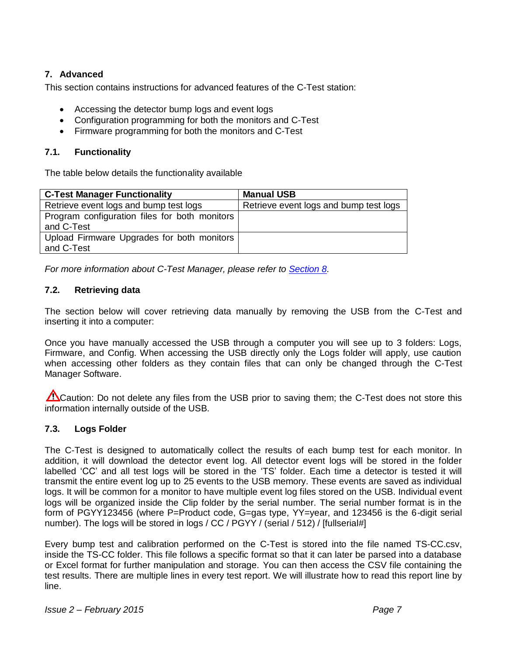# <span id="page-7-0"></span>**7. Advanced**

This section contains instructions for advanced features of the C-Test station:

- Accessing the detector bump logs and event logs
- Configuration programming for both the monitors and C-Test
- Firmware programming for both the monitors and C-Test

# <span id="page-7-1"></span>**7.1. Functionality**

The table below details the functionality available

| <b>C-Test Manager Functionality</b>                         | <b>Manual USB</b>                      |
|-------------------------------------------------------------|----------------------------------------|
| Retrieve event logs and bump test logs                      | Retrieve event logs and bump test logs |
| Program configuration files for both monitors<br>and C-Test |                                        |
| Upload Firmware Upgrades for both monitors<br>and C-Test    |                                        |

*For more information about C-Test Manager, please refer to [Section 8.](#page-8-0)* 

# <span id="page-7-2"></span>**7.2. Retrieving data**

The section below will cover retrieving data manually by removing the USB from the C-Test and inserting it into a computer:

Once you have manually accessed the USB through a computer you will see up to 3 folders: Logs, Firmware, and Config. When accessing the USB directly only the Logs folder will apply, use caution when accessing other folders as they contain files that can only be changed through the C-Test Manager Software.

Caution: Do not delete any files from the USB prior to saving them; the C-Test does not store this information internally outside of the USB.

# <span id="page-7-3"></span>**7.3. Logs Folder**

The C-Test is designed to automatically collect the results of each bump test for each monitor. In addition, it will download the detector event log. All detector event logs will be stored in the folder labelled 'CC' and all test logs will be stored in the 'TS' folder. Each time a detector is tested it will transmit the entire event log up to 25 events to the USB memory. These events are saved as individual logs. It will be common for a monitor to have multiple event log files stored on the USB. Individual event logs will be organized inside the Clip folder by the serial number. The serial number format is in the form of PGYY123456 (where P=Product code, G=gas type, YY=year, and 123456 is the 6-digit serial number). The logs will be stored in logs / CC / PGYY / (serial / 512) / [fullserial#]

Every bump test and calibration performed on the C-Test is stored into the file named TS-CC.csv, inside the TS-CC folder. This file follows a specific format so that it can later be parsed into a database or Excel format for further manipulation and storage. You can then access the CSV file containing the test results. There are multiple lines in every test report. We will illustrate how to read this report line by line.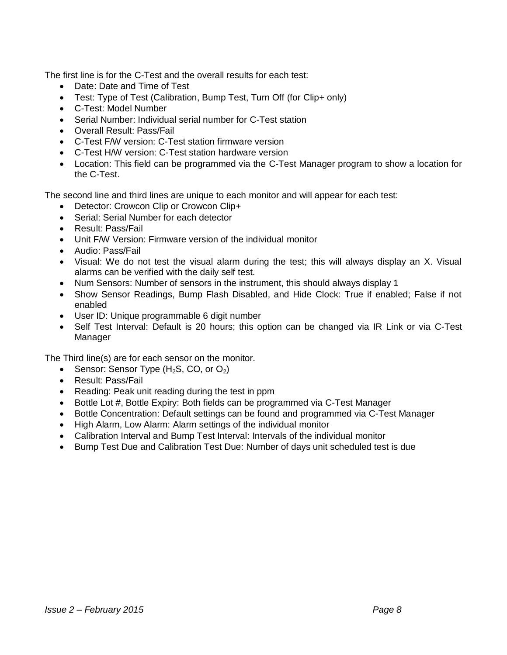The first line is for the C-Test and the overall results for each test:

- Date: Date and Time of Test
- Test: Type of Test (Calibration, Bump Test, Turn Off (for Clip+ only)
- C-Test: Model Number
- Serial Number: Individual serial number for C-Test station
- Overall Result: Pass/Fail
- C-Test F/W version: C-Test station firmware version
- C-Test H/W version: C-Test station hardware version
- Location: This field can be programmed via the C-Test Manager program to show a location for the C-Test.

The second line and third lines are unique to each monitor and will appear for each test:

- Detector: Crowcon Clip or Crowcon Clip+
- Serial: Serial Number for each detector
- Result: Pass/Fail
- Unit F/W Version: Firmware version of the individual monitor
- Audio: Pass/Fail
- Visual: We do not test the visual alarm during the test; this will always display an X. Visual alarms can be verified with the daily self test.
- Num Sensors: Number of sensors in the instrument, this should always display 1
- Show Sensor Readings, Bump Flash Disabled, and Hide Clock: True if enabled; False if not enabled
- User ID: Unique programmable 6 digit number
- Self Test Interval: Default is 20 hours; this option can be changed via IR Link or via C-Test Manager

The Third line(s) are for each sensor on the monitor.

- Sensor: Sensor Type  $(H_2S, CO, or O_2)$
- Result: Pass/Fail
- Reading: Peak unit reading during the test in ppm
- Bottle Lot #, Bottle Expiry: Both fields can be programmed via C-Test Manager
- Bottle Concentration: Default settings can be found and programmed via C-Test Manager
- High Alarm, Low Alarm: Alarm settings of the individual monitor
- <span id="page-8-0"></span>Calibration Interval and Bump Test Interval: Intervals of the individual monitor
- Bump Test Due and Calibration Test Due: Number of days unit scheduled test is due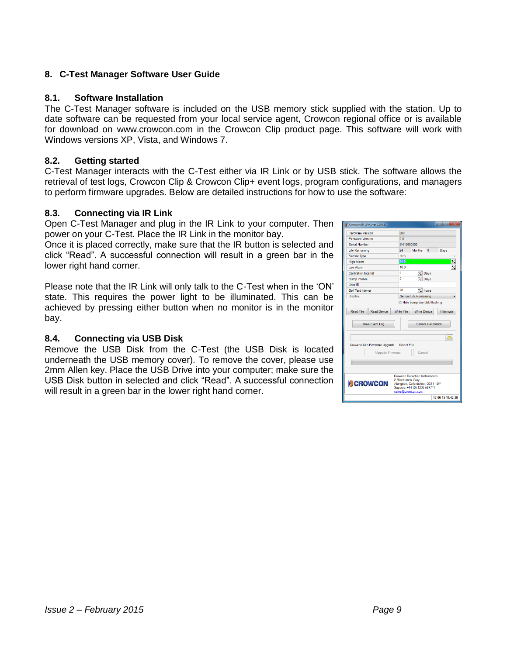# <span id="page-9-0"></span>**8. C-Test Manager Software User Guide**

### <span id="page-9-1"></span>**8.1. Software Installation**

The C-Test Manager software is included on the USB memory stick supplied with the station. Up to date software can be requested from your local service agent, Crowcon regional office or is available for download on [www.crowcon.com](http://www.crowcon.com/) in the Crowcon Clip product page. This software will work with Windows versions XP, Vista, and Windows 7.

# <span id="page-9-2"></span>**8.2. Getting started**

C-Test Manager interacts with the C-Test either via IR Link or by USB stick. The software allows the retrieval of test logs, Crowcon Clip & Crowcon Clip+ event logs, program configurations, and managers to perform firmware upgrades. Below are detailed instructions for how to use the software:

### <span id="page-9-3"></span>**8.3. Connecting via IR Link**

Open C-Test Manager and plug in the IR Link to your computer. Then power on your C-Test. Place the IR Link in the monitor bay.

Once it is placed correctly, make sure that the IR button is selected and click "Read". A successful connection will result in a green bar in the lower right hand corner.

Please note that the IR Link will only talk to the C-Test when in the 'ON' state. This requires the power light to be illuminated. This can be achieved by pressing either button when no monitor is in the monitor bay.

# <span id="page-9-4"></span>**8.4. Connecting via USB Disk**

Remove the USB Disk from the C-Test (the USB Disk is located underneath the USB memory cover). To remove the cover, please use 2mm Allen key. Place the USB Drive into your computer; make sure the USB Disk button in selected and click "Read". A successful connection will result in a green bar in the lower right hand corner.

| Crowcon IR LINK [ver 1.3.0.2]                                                                                                                                                            | $\overline{\mathbf{x}}$<br><b>STATISTICS</b> |  |  |  |  |  |  |
|------------------------------------------------------------------------------------------------------------------------------------------------------------------------------------------|----------------------------------------------|--|--|--|--|--|--|
| <b>Hardware Version</b>                                                                                                                                                                  | 000                                          |  |  |  |  |  |  |
| <b>Firmware Version</b>                                                                                                                                                                  | 0 <sub>0</sub>                               |  |  |  |  |  |  |
| Serial Number                                                                                                                                                                            | SH10000000                                   |  |  |  |  |  |  |
| <b>Life Remaining</b>                                                                                                                                                                    | 24<br><b>Months</b><br>o<br>Days             |  |  |  |  |  |  |
| <b>Sensor Type</b>                                                                                                                                                                       | H2S                                          |  |  |  |  |  |  |
| <b>High Alarm</b>                                                                                                                                                                        | Z.<br>15.0                                   |  |  |  |  |  |  |
| Low Alarm                                                                                                                                                                                | $\overline{\mathscr{C}}$<br>100              |  |  |  |  |  |  |
| <b>Calibration Interval</b>                                                                                                                                                              | Ō<br>A Days                                  |  |  |  |  |  |  |
| <b>Bump Interval</b>                                                                                                                                                                     | 0<br>X Days                                  |  |  |  |  |  |  |
| User ID                                                                                                                                                                                  |                                              |  |  |  |  |  |  |
| <b>Self Test Interval</b>                                                                                                                                                                | 20<br>$\frac{1}{\sqrt{2}}$ hours             |  |  |  |  |  |  |
| Display                                                                                                                                                                                  | <b>Sensor/Life Remaining</b>                 |  |  |  |  |  |  |
| <b>Read File</b><br><b>Read Device</b><br><b>Write File</b><br><b>Write Device</b><br>Hibernate<br><b>Sensor Calibration</b><br>Save Event Log                                           |                                              |  |  |  |  |  |  |
| ☞<br>Crowcon Clip Firmware Upgrade  Select File<br>Cancel<br>Upgrade Firmware                                                                                                            |                                              |  |  |  |  |  |  |
| <b>Crowcon Detection Instruments</b><br>2 Blacklands Way<br><b>DCROWCON</b><br>Abingdon, Oxfordshire, OX14 1DY<br>Support: +44 (0) 1235 557711<br>sales@crowcon.com<br>12-06-15 11:42:20 |                                              |  |  |  |  |  |  |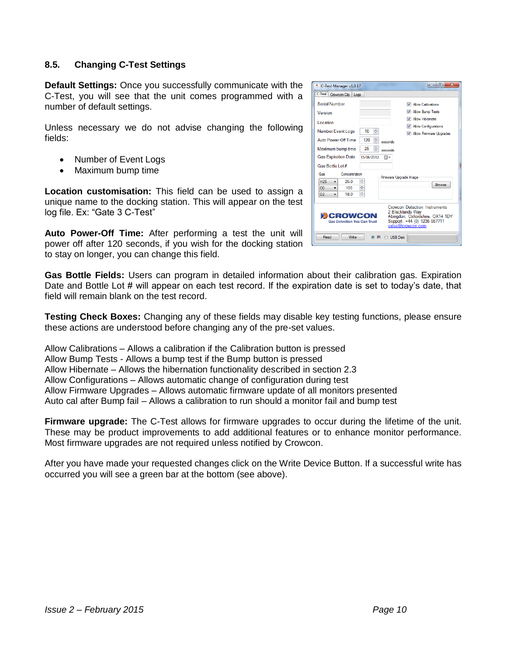# <span id="page-10-0"></span>**8.5. Changing C-Test Settings**

**Default Settings:** Once you successfully communicate with the C-Test, you will see that the unit comes programmed with a number of default settings.

Unless necessary we do not advise changing the following fields:

- Number of Event Logs
- Maximum bump time

**Location customisation:** This field can be used to assign a unique name to the docking station. This will appear on the test log file. Ex: "Gate 3 C-Test"

**Auto Power-Off Time:** After performing a test the unit will power off after 120 seconds, if you wish for the docking station to stay on longer, you can change this field.

**Gas Bottle Fields:** Users can program in detailed information about their calibration gas. Expiration Date and Bottle Lot # will appear on each test record. If the expiration date is set to today's date, that field will remain blank on the test record.

**Testing Check Boxes:** Changing any of these fields may disable key testing functions, please ensure these actions are understood before changing any of the pre-set values.

Allow Calibrations – Allows a calibration if the Calibration button is pressed Allow Bump Tests - Allows a bump test if the Bump button is pressed Allow Hibernate – Allows the hibernation functionality described in section 2.3 Allow Configurations – Allows automatic change of configuration during test Allow Firmware Upgrades – Allows automatic firmware update of all monitors presented Auto cal after Bump fail – Allows a calibration to run should a monitor fail and bump test

**Firmware upgrade:** The C-Test allows for firmware upgrades to occur during the lifetime of the unit. These may be product improvements to add additional features or to enhance monitor performance. Most firmware upgrades are not required unless notified by Crowcon.

After you have made your requested changes click on the Write Device Button. If a successful write has occurred you will see a green bar at the bottom (see above).

| C-Test Manager v1.0.17                                                                                                                                                                                    | $\mathbf{x}$<br>a le                      |  |  |  |  |  |
|-----------------------------------------------------------------------------------------------------------------------------------------------------------------------------------------------------------|-------------------------------------------|--|--|--|--|--|
| C-Test Crowcon Clip   Logs                                                                                                                                                                                |                                           |  |  |  |  |  |
| <b>Serial Number</b>                                                                                                                                                                                      | <b>Allow Calibrations</b><br>v            |  |  |  |  |  |
| Version                                                                                                                                                                                                   | <b>Allow Bump Tests</b><br>$\overline{v}$ |  |  |  |  |  |
| Location                                                                                                                                                                                                  | <b>V</b> Allow Hibemate                   |  |  |  |  |  |
| 10<br>Number Event Logs                                                                                                                                                                                   | V Allow Configurations<br>÷               |  |  |  |  |  |
|                                                                                                                                                                                                           | V Allow Firmware Upgrades                 |  |  |  |  |  |
| Auto Power-Off Time<br>120                                                                                                                                                                                | ÷<br>seconds                              |  |  |  |  |  |
| ÷<br>25<br>Maximum bump time<br>seconds                                                                                                                                                                   |                                           |  |  |  |  |  |
| <b>Gas Expiration Date</b><br>15/06/2012                                                                                                                                                                  | ⊪                                         |  |  |  |  |  |
| Gas Bottle Lot #                                                                                                                                                                                          |                                           |  |  |  |  |  |
| Gas<br>Concentration                                                                                                                                                                                      | Firmware Upgrade Image                    |  |  |  |  |  |
| ÷<br>H <sub>2S</sub><br>25.0<br>▼                                                                                                                                                                         | <b>Browse</b>                             |  |  |  |  |  |
| ÷<br>100<br><sub>co</sub><br>$\overline{\phantom{a}}$                                                                                                                                                     |                                           |  |  |  |  |  |
| ÷<br>O <sub>2</sub><br>18.0                                                                                                                                                                               |                                           |  |  |  |  |  |
| <b>Crowcon Detection Instruments</b><br>2 Blacklands Wav<br><b>EXPONCON</b><br>Abingdon, Oxfordshire, OX14 1DY<br>Support: +44 (0) 1235 557711<br><b>Gas Detection You Can Trust</b><br>sales@crowcon.com |                                           |  |  |  |  |  |
| Read<br>Write                                                                                                                                                                                             | $\odot$ IR<br><b>USB Disk</b>             |  |  |  |  |  |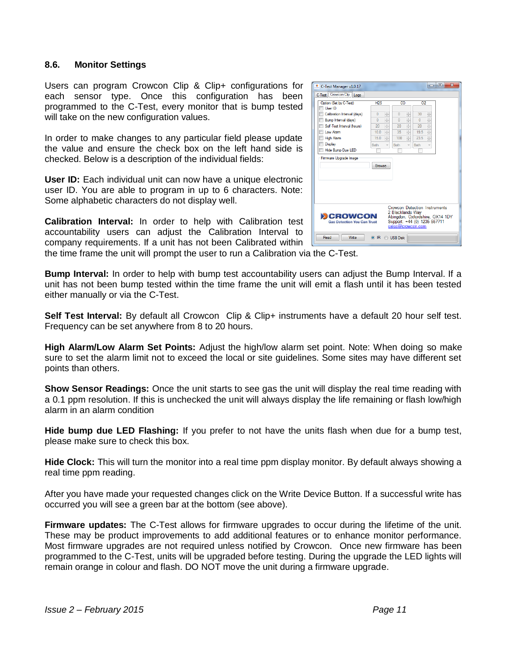#### <span id="page-11-0"></span>**8.6. Monitor Settings**

Users can program Crowcon Clip & Clip+ configurations for each sensor type. Once this configuration has been programmed to the C-Test, every monitor that is bump tested will take on the new configuration values.

In order to make changes to any particular field please update the value and ensure the check box on the left hand side is checked. Below is a description of the individual fields:

**User ID:** Each individual unit can now have a unique electronic user ID. You are able to program in up to 6 characters. Note: Some alphabetic characters do not display well.

**Calibration Interval:** In order to help with Calibration test accountability users can adjust the Calibration Interval to company requirements. If a unit has not been Calibrated within

| C-Test Manager v1.0.17<br>C-Test Crowcon Clip Logs                                                                                                                                                                                                           |                                                                                                                                                                                                                 |                                                                                                                                                                                                                                 |                                                                                                                                                                                                               | $\mathbf{x}$<br>- 0 |  |  |
|--------------------------------------------------------------------------------------------------------------------------------------------------------------------------------------------------------------------------------------------------------------|-----------------------------------------------------------------------------------------------------------------------------------------------------------------------------------------------------------------|---------------------------------------------------------------------------------------------------------------------------------------------------------------------------------------------------------------------------------|---------------------------------------------------------------------------------------------------------------------------------------------------------------------------------------------------------------|---------------------|--|--|
| Option (Set by C-Test)<br>User ID<br>Calibration Interval (days)<br><b>Bump Interval (davs)</b><br>Self-Test Interval (hours)<br>Low Alarm<br><b>High Alam</b><br><b>Display</b><br><b>Hide Bump Due LED</b><br>Firmware Upgrade Image                       | H2S<br>$\frac{1}{\sqrt{2}}$<br>$\mathbf{0}$<br>$\frac{\triangle}{\mathbf{v}}$<br>$\mathbf{0}$<br>$\frac{\triangle}{\mathbf{v}}$<br>20<br>÷<br>100<br>$\frac{1}{\sqrt{2}}$<br>15.0<br><b>Both</b><br>v<br>Browse | CO<br>$\mathcal{A}$<br>$\mathbf{0}$<br>$\overline{\mathbf{v}}$<br>$\frac{A}{\nu}$<br>$\overline{0}$<br>$\mathbb{A}$<br>20<br>÷<br>$\frac{1}{v}$<br>35<br>$\frac{\Lambda}{\nu}$<br>100<br><b>Both</b><br>$\overline{\mathbf{v}}$ | 02<br>$\Lambda$<br>30<br>$\overline{\mathbf{v}}$<br>$\frac{1}{\sqrt{2}}$<br>$\Omega$<br>$\frac{\lambda}{\nu}$<br>20<br>$\frac{1}{\sqrt{2}}$<br>19.5<br>$\frac{\Lambda}{\nu}$<br>23.5<br><b>Roth</b><br>$\vee$ |                     |  |  |
| <b>Crowcon Detection Instruments</b><br>2 Blacklands Way<br><b>EXCROWCON</b><br>Abingdon, Oxfordshire, OX14 1DY<br>Support: +44 (0) 1235 557711<br><b>Gas Detection You Can Trust</b><br>sales@crowcon.com<br>Read<br>Write<br>$\odot$ IR<br><b>USB Disk</b> |                                                                                                                                                                                                                 |                                                                                                                                                                                                                                 |                                                                                                                                                                                                               |                     |  |  |

the time frame the unit will prompt the user to run a Calibration via the C-Test.

**Bump Interval:** In order to help with bump test accountability users can adjust the Bump Interval. If a unit has not been bump tested within the time frame the unit will emit a flash until it has been tested either manually or via the C-Test.

**Self Test Interval:** By default all Crowcon Clip & Clip+ instruments have a default 20 hour self test. Frequency can be set anywhere from 8 to 20 hours.

**High Alarm/Low Alarm Set Points:** Adjust the high/low alarm set point. Note: When doing so make sure to set the alarm limit not to exceed the local or site guidelines. Some sites may have different set points than others.

**Show Sensor Readings:** Once the unit starts to see gas the unit will display the real time reading with a 0.1 ppm resolution. If this is unchecked the unit will always display the life remaining or flash low/high alarm in an alarm condition

**Hide bump due LED Flashing:** If you prefer to not have the units flash when due for a bump test, please make sure to check this box.

**Hide Clock:** This will turn the monitor into a real time ppm display monitor. By default always showing a real time ppm reading.

After you have made your requested changes click on the Write Device Button. If a successful write has occurred you will see a green bar at the bottom (see above).

**Firmware updates:** The C-Test allows for firmware upgrades to occur during the lifetime of the unit. These may be product improvements to add additional features or to enhance monitor performance. Most firmware upgrades are not required unless notified by Crowcon. Once new firmware has been programmed to the C-Test, units will be upgraded before testing. During the upgrade the LED lights will remain orange in colour and flash. DO NOT move the unit during a firmware upgrade.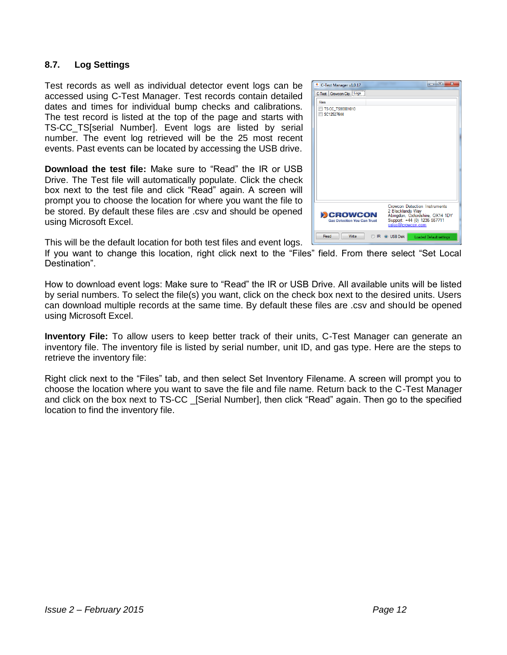# <span id="page-12-0"></span>**8.7. Log Settings**

Test records as well as individual detector event logs can be accessed using C-Test Manager. Test records contain detailed dates and times for individual bump checks and calibrations. The test record is listed at the top of the page and starts with TS-CC\_TS[serial Number]. Event logs are listed by serial number. The event log retrieved will be the 25 most recent events. Past events can be located by accessing the USB drive.

**Download the test file:** Make sure to "Read" the IR or USB Drive. The Test file will automatically populate. Click the check box next to the test file and click "Read" again. A screen will prompt you to choose the location for where you want the file to be stored. By default these files are .csv and should be opened using Microsoft Excel.



This will be the default location for both test files and event logs.

If you want to change this location, right click next to the "Files" field. From there select "Set Local Destination".

How to download event logs: Make sure to "Read" the IR or USB Drive. All available units will be listed by serial numbers. To select the file(s) you want, click on the check box next to the desired units. Users can download multiple records at the same time. By default these files are .csv and should be opened using Microsoft Excel.

**Inventory File:** To allow users to keep better track of their units, C-Test Manager can generate an inventory file. The inventory file is listed by serial number, unit ID, and gas type. Here are the steps to retrieve the inventory file:

Right click next to the "Files" tab, and then select Set Inventory Filename. A screen will prompt you to choose the location where you want to save the file and file name. Return back to the C-Test Manager and click on the box next to TS-CC \_[Serial Number], then click "Read" again. Then go to the specified location to find the inventory file.